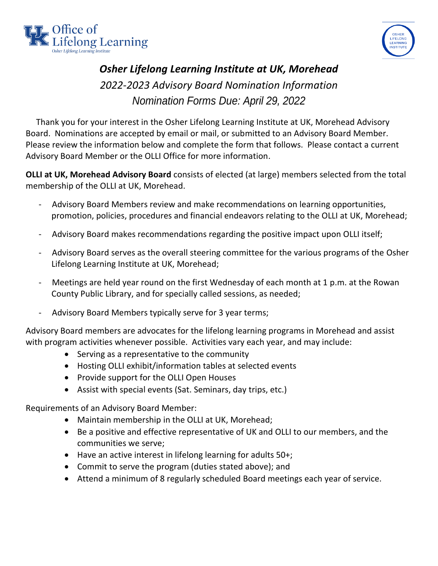



## *Osher Lifelong Learning Institute at UK, Morehead 2022-2023 Advisory Board Nomination Information Nomination Forms Due: April 29, 2022*

 Thank you for your interest in the Osher Lifelong Learning Institute at UK, Morehead Advisory Board. Nominations are accepted by email or mail, or submitted to an Advisory Board Member. Please review the information below and complete the form that follows. Please contact a current Advisory Board Member or the OLLI Office for more information.

**OLLI at UK, Morehead Advisory Board** consists of elected (at large) members selected from the total membership of the OLLI at UK, Morehead.

- Advisory Board Members review and make recommendations on learning opportunities, promotion, policies, procedures and financial endeavors relating to the OLLI at UK, Morehead;
- Advisory Board makes recommendations regarding the positive impact upon OLLI itself;
- Advisory Board serves as the overall steering committee for the various programs of the Osher Lifelong Learning Institute at UK, Morehead;
- Meetings are held year round on the first Wednesday of each month at 1 p.m. at the Rowan County Public Library, and for specially called sessions, as needed;
- Advisory Board Members typically serve for 3 year terms;

Advisory Board members are advocates for the lifelong learning programs in Morehead and assist with program activities whenever possible. Activities vary each year, and may include:

- Serving as a representative to the community
- Hosting OLLI exhibit/information tables at selected events
- Provide support for the OLLI Open Houses
- Assist with special events (Sat. Seminars, day trips, etc.)

Requirements of an Advisory Board Member:

- Maintain membership in the OLLI at UK, Morehead;
- Be a positive and effective representative of UK and OLLI to our members, and the communities we serve;
- Have an active interest in lifelong learning for adults 50+;
- Commit to serve the program (duties stated above); and
- Attend a minimum of 8 regularly scheduled Board meetings each year of service.